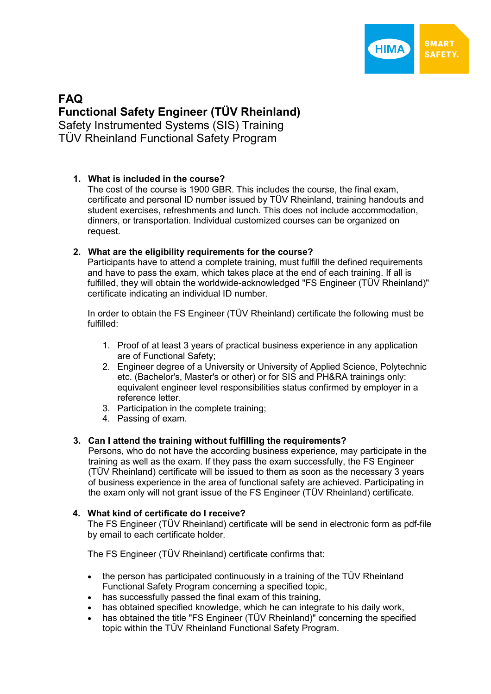

# **FAQ Functional Safety Engineer (TÜV Rheinland)**  Safety Instrumented Systems (SIS) Training TÜV Rheinland Functional Safety Program

# **1. What is included in the course?**

The cost of the course is 1900 GBR. This includes the course, the final exam, certificate and personal ID number issued by TÜV Rheinland, training handouts and student exercises, refreshments and lunch. This does not include accommodation, dinners, or transportation. Individual customized courses can be organized on request.

# **2. What are the eligibility requirements for the course?**

Participants have to attend a complete training, must fulfill the defined requirements and have to pass the exam, which takes place at the end of each training. If all is fulfilled, they will obtain the worldwide-acknowledged "FS Engineer (TÜV Rheinland)" certificate indicating an individual ID number.

In order to obtain the FS Engineer (TÜV Rheinland) certificate the following must be fulfilled:

- 1. Proof of at least 3 years of practical business experience in any application are of Functional Safety;
- 2. Engineer degree of a University or University of Applied Science, Polytechnic etc. (Bachelor's, Master's or other) or for SIS and PH&RA trainings only: equivalent engineer level responsibilities status confirmed by employer in a reference letter.
- 3. Participation in the complete training;
- 4. Passing of exam.

# **3. Can I attend the training without fulfilling the requirements?**

Persons, who do not have the according business experience, may participate in the training as well as the exam. If they pass the exam successfully, the FS Engineer (TÜV Rheinland) certificate will be issued to them as soon as the necessary 3 years of business experience in the area of functional safety are achieved. Participating in the exam only will not grant issue of the FS Engineer (TÜV Rheinland) certificate.

# **4. What kind of certificate do I receive?**

The FS Engineer (TÜV Rheinland) certificate will be send in electronic form as pdf-file by email to each certificate holder.

The FS Engineer (TÜV Rheinland) certificate confirms that:

- the person has participated continuously in a training of the TÜV Rheinland Functional Safety Program concerning a specified topic,
- has successfully passed the final exam of this training,
- has obtained specified knowledge, which he can integrate to his daily work,
- has obtained the title "FS Engineer (TÜV Rheinland)" concerning the specified topic within the TÜV Rheinland Functional Safety Program.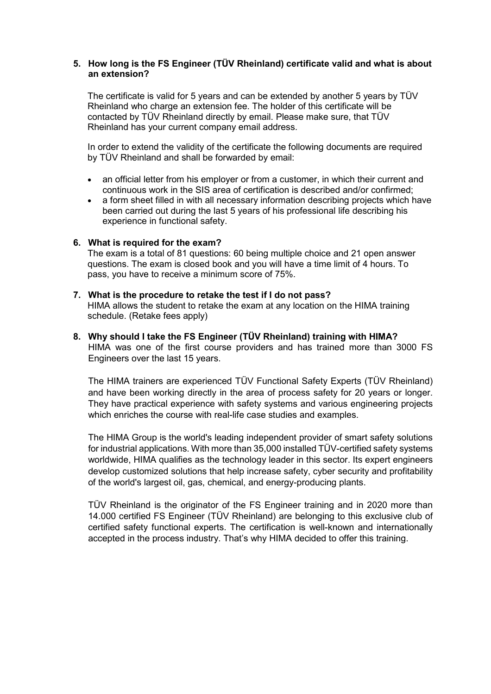#### **5. How long is the FS Engineer (TÜV Rheinland) certificate valid and what is about an extension?**

The certificate is valid for 5 years and can be extended by another 5 years by TÜV Rheinland who charge an extension fee. The holder of this certificate will be contacted by TÜV Rheinland directly by email. Please make sure, that TÜV Rheinland has your current company email address.

In order to extend the validity of the certificate the following documents are required by TÜV Rheinland and shall be forwarded by email:

- an official letter from his employer or from a customer, in which their current and continuous work in the SIS area of certification is described and/or confirmed;
- a form sheet filled in with all necessary information describing projects which have been carried out during the last 5 years of his professional life describing his experience in functional safety.

#### **6. What is required for the exam?**

The exam is a total of 81 questions: 60 being multiple choice and 21 open answer questions. The exam is closed book and you will have a time limit of 4 hours. To pass, you have to receive a minimum score of 75%.

- **7. What is the procedure to retake the test if I do not pass?**  HIMA allows the student to retake the exam at any location on the HIMA training schedule. (Retake fees apply)
- **8. Why should I take the FS Engineer (TÜV Rheinland) training with HIMA?**  HIMA was one of the first course providers and has trained more than 3000 FS Engineers over the last 15 years.

The HIMA trainers are experienced TÜV Functional Safety Experts (TÜV Rheinland) and have been working directly in the area of process safety for 20 years or longer. They have practical experience with safety systems and various engineering projects which enriches the course with real-life case studies and examples.

The HIMA Group is the world's leading independent provider of smart safety solutions for industrial applications. With more than 35,000 installed TÜV-certified safety systems worldwide, HIMA qualifies as the technology leader in this sector. Its expert engineers develop customized solutions that help increase safety, cyber security and profitability of the world's largest oil, gas, chemical, and energy-producing plants.

TÜV Rheinland is the originator of the FS Engineer training and in 2020 more than 14.000 certified FS Engineer (TÜV Rheinland) are belonging to this exclusive club of certified safety functional experts. The certification is well-known and internationally accepted in the process industry. That's why HIMA decided to offer this training.